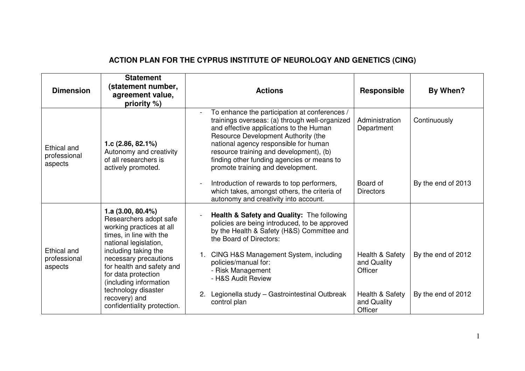## **ACTION PLAN FOR THE CYPRUS INSTITUTE OF NEUROLOGY AND GENETICS (CING)**

| <b>Dimension</b>                       | <b>Statement</b><br>(statement number,<br>agreement value,<br>priority %)                                                                                                                                                                                                                                                            | <b>Actions</b>                                                                                                                                                                                                                                                                                                                                           | Responsible                               | By When?           |
|----------------------------------------|--------------------------------------------------------------------------------------------------------------------------------------------------------------------------------------------------------------------------------------------------------------------------------------------------------------------------------------|----------------------------------------------------------------------------------------------------------------------------------------------------------------------------------------------------------------------------------------------------------------------------------------------------------------------------------------------------------|-------------------------------------------|--------------------|
| Ethical and<br>professional<br>aspects | 1.c $(2.86, 82.1\%)$<br>Autonomy and creativity<br>of all researchers is<br>actively promoted.                                                                                                                                                                                                                                       | To enhance the participation at conferences /<br>trainings overseas: (a) through well-organized<br>and effective applications to the Human<br>Resource Development Authority (the<br>national agency responsible for human<br>resource training and development), (b)<br>finding other funding agencies or means to<br>promote training and development. | Administration<br>Department              | Continuously       |
|                                        |                                                                                                                                                                                                                                                                                                                                      | Introduction of rewards to top performers,<br>which takes, amongst others, the criteria of<br>autonomy and creativity into account.                                                                                                                                                                                                                      | Board of<br><b>Directors</b>              | By the end of 2013 |
| Ethical and<br>professional<br>aspects | 1.a $(3.00, 80.4\%)$<br>Researchers adopt safe<br>working practices at all<br>times, in line with the<br>national legislation,<br>including taking the<br>necessary precautions<br>for health and safety and<br>for data protection<br>(including information<br>technology disaster<br>recovery) and<br>confidentiality protection. | Health & Safety and Quality: The following<br>policies are being introduced, to be approved<br>by the Health & Safety (H&S) Committee and<br>the Board of Directors:<br>CING H&S Management System, including                                                                                                                                            | Health & Safety                           | By the end of 2012 |
|                                        |                                                                                                                                                                                                                                                                                                                                      | policies/manual for:<br>- Risk Management<br>- H&S Audit Review<br>Legionella study - Gastrointestinal Outbreak<br>2.                                                                                                                                                                                                                                    | and Quality<br>Officer<br>Health & Safety | By the end of 2012 |
|                                        |                                                                                                                                                                                                                                                                                                                                      | control plan                                                                                                                                                                                                                                                                                                                                             | and Quality<br>Officer                    |                    |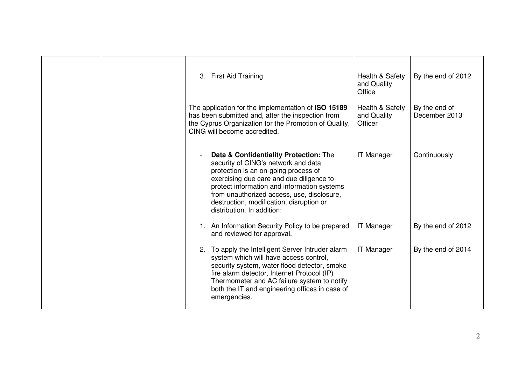|  | 3. First Aid Training                                                                                                                                                                                                                                                                                                                    | Health & Safety<br>and Quality<br>Office  | By the end of 2012             |
|--|------------------------------------------------------------------------------------------------------------------------------------------------------------------------------------------------------------------------------------------------------------------------------------------------------------------------------------------|-------------------------------------------|--------------------------------|
|  | The application for the implementation of ISO 15189<br>has been submitted and, after the inspection from<br>the Cyprus Organization for the Promotion of Quality,<br>CING will become accredited.                                                                                                                                        | Health & Safety<br>and Quality<br>Officer | By the end of<br>December 2013 |
|  | Data & Confidentiality Protection: The<br>security of CING's network and data<br>protection is an on-going process of<br>exercising due care and due diligence to<br>protect information and information systems<br>from unauthorized access, use, disclosure,<br>destruction, modification, disruption or<br>distribution. In addition: | <b>IT Manager</b>                         | Continuously                   |
|  | 1. An Information Security Policy to be prepared<br>and reviewed for approval.                                                                                                                                                                                                                                                           | <b>IT Manager</b>                         | By the end of 2012             |
|  | 2. To apply the Intelligent Server Intruder alarm<br>system which will have access control,<br>security system, water flood detector, smoke<br>fire alarm detector, Internet Protocol (IP)<br>Thermometer and AC failure system to notify<br>both the IT and engineering offices in case of<br>emergencies.                              | <b>IT Manager</b>                         | By the end of 2014             |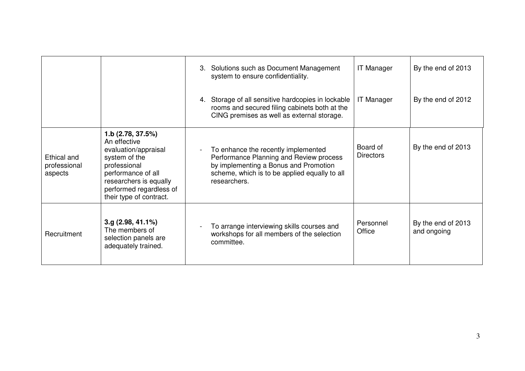|                                        |                                                                                                                                                                                                  | 3. Solutions such as Document Management<br>system to ensure confidentiality.                                                                                                            | <b>IT Manager</b>            | By the end of 2013                |
|----------------------------------------|--------------------------------------------------------------------------------------------------------------------------------------------------------------------------------------------------|------------------------------------------------------------------------------------------------------------------------------------------------------------------------------------------|------------------------------|-----------------------------------|
|                                        |                                                                                                                                                                                                  | Storage of all sensitive hardcopies in lockable<br>4.<br>rooms and secured filing cabinets both at the<br>CING premises as well as external storage.                                     | <b>IT Manager</b>            | By the end of 2012                |
| Ethical and<br>professional<br>aspects | 1.b (2.78, 37.5%)<br>An effective<br>evaluation/appraisal<br>system of the<br>professional<br>performance of all<br>researchers is equally<br>performed regardless of<br>their type of contract. | To enhance the recently implemented<br>Performance Planning and Review process<br>by implementing a Bonus and Promotion<br>scheme, which is to be applied equally to all<br>researchers. | Board of<br><b>Directors</b> | By the end of 2013                |
| Recruitment                            | $3.g$ (2.98, 41.1%)<br>The members of<br>selection panels are<br>adequately trained.                                                                                                             | To arrange interviewing skills courses and<br>workshops for all members of the selection<br>committee.                                                                                   | Personnel<br>Office          | By the end of 2013<br>and ongoing |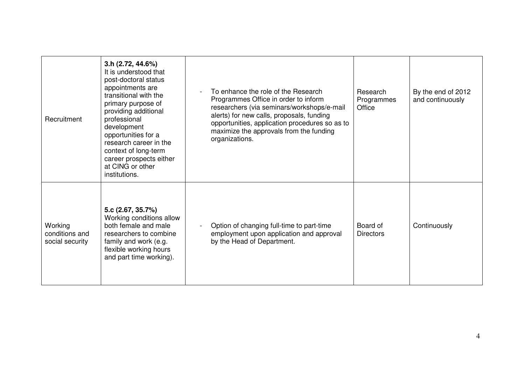| Recruitment                                  | 3.h (2.72, 44.6%)<br>It is understood that<br>post-doctoral status<br>appointments are<br>transitional with the<br>primary purpose of<br>providing additional<br>professional<br>development<br>opportunities for a<br>research career in the<br>context of long-term<br>career prospects either<br>at CING or other<br>institutions. | To enhance the role of the Research<br>Programmes Office in order to inform<br>researchers (via seminars/workshops/e-mail<br>alerts) for new calls, proposals, funding<br>opportunities, application procedures so as to<br>maximize the approvals from the funding<br>organizations. | Research<br>Programmes<br>Office | By the end of 2012<br>and continuously |
|----------------------------------------------|---------------------------------------------------------------------------------------------------------------------------------------------------------------------------------------------------------------------------------------------------------------------------------------------------------------------------------------|---------------------------------------------------------------------------------------------------------------------------------------------------------------------------------------------------------------------------------------------------------------------------------------|----------------------------------|----------------------------------------|
| Working<br>conditions and<br>social security | 5.c (2.67, 35.7%)<br>Working conditions allow<br>both female and male<br>researchers to combine<br>family and work (e.g.<br>flexible working hours<br>and part time working).                                                                                                                                                         | Option of changing full-time to part-time<br>employment upon application and approval<br>by the Head of Department.                                                                                                                                                                   | Board of<br><b>Directors</b>     | Continuously                           |